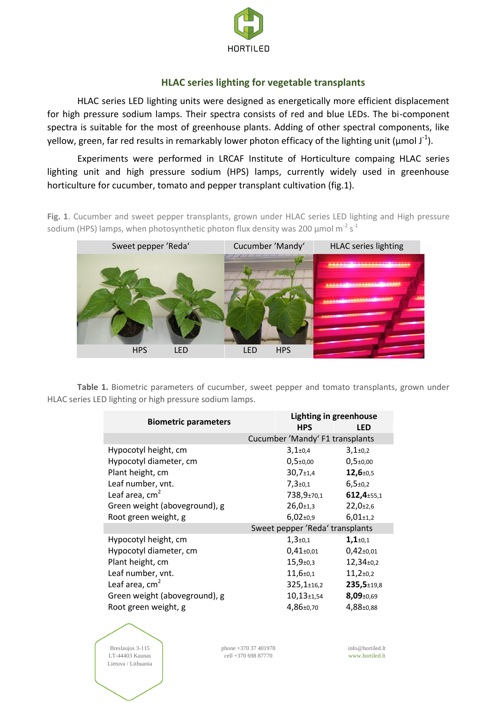

## **HLAC series lighting for vegetable transplants**

HLAC series LED lighting units were designed as energetically more efficient displacement for high pressure sodium lamps. Their spectra consists of red and blue LEDs. The bi-component spectra is suitable for the most of greenhouse plants. Adding of other spectral components, like yellow, green, far red results in remarkably lower photon efficacy of the lighting unit (µmol J<sup>-1</sup>).

Experiments were performed in LRCAF Institute of Horticulture compaing HLAC series lighting unit and high pressure sodium (HPS) lamps, currently widely used in greenhouse horticulture for cucumber, tomato and pepper transplant cultivation (fig.1).

**Fig. 1**. Cucumber and sweet pepper transplants, grown under HLAC series LED lighting and High pressure sodium (HPS) lamps, when photosynthetic photon flux density was 200  $\mu$ mol m<sup>-2</sup> s<sup>-1</sup>



**Table 1.** Biometric parameters of cucumber, sweet pepper and tomato transplants, grown under HLAC series LED lighting or high pressure sodium lamps.

| <b>Biometric parameters</b>   |                                 | <b>Lighting in greenhouse</b> |  |
|-------------------------------|---------------------------------|-------------------------------|--|
|                               | <b>HPS</b>                      | <b>LED</b>                    |  |
|                               | Cucumber 'Mandy' F1 transplants |                               |  |
| Hypocotyl height, cm          | $3,1{\scriptstyle \pm0,4}$      | $3,1{\scriptstyle \pm0.2}$    |  |
| Hypocotyl diameter, cm        | $0,5{\scriptstyle \pm0.00}$     | $0.5 \pm 0.00$                |  |
| Plant height, cm              | $30,7{\scriptstyle \pm1,4}$     | $12,6 \pm 0.5$                |  |
| Leaf number, vnt.             | $7,3{\scriptstyle \pm0,1}$      | $6,5{\scriptstyle \pm0,2}$    |  |
| Leaf area, $cm2$              | 738, 9±70, 1                    | $612,4_{\pm 55,1}$            |  |
| Green weight (aboveground), g | $26,0+1,3$                      | $22,0+2,6$                    |  |
| Root green weight, g          | $6,02{\scriptstyle \pm0,9}$     | $6,01+1,2$                    |  |
|                               | Sweet pepper 'Reda' transplants |                               |  |
| Hypocotyl height, cm          | $1,3{\scriptstyle \pm0.1}$      | $1,1{\scriptstyle \pm0,1}$    |  |
| Hypocotyl diameter, cm        | $0,41_{\pm0,01}$                | $0,42{\scriptstyle \pm0.01}$  |  |
| Plant height, cm              | $15,9{\scriptstyle \pm0,3}$     | $12,34+0,2$                   |  |
| Leaf number, vnt.             | $11,6{\scriptstyle \pm0,1}$     | $11,2{\scriptstyle \pm0,2}$   |  |
| Leaf area, $cm2$              | $325, 1 \pm 16, 2$              | 235,5±19,8                    |  |
| Green weight (aboveground), g | $10,13{\scriptstyle \pm1,54}$   | 8,09±0,69                     |  |
| Root green weight, g          | 4,86±0,70                       | 4,88±0,88                     |  |

Breslaujos 3-115 LT-44403 Kaunas Lietuva / Lithuania

phone +370 37 401978 cell +370 698 87770

info@hortiled.lt www.hortiled.lt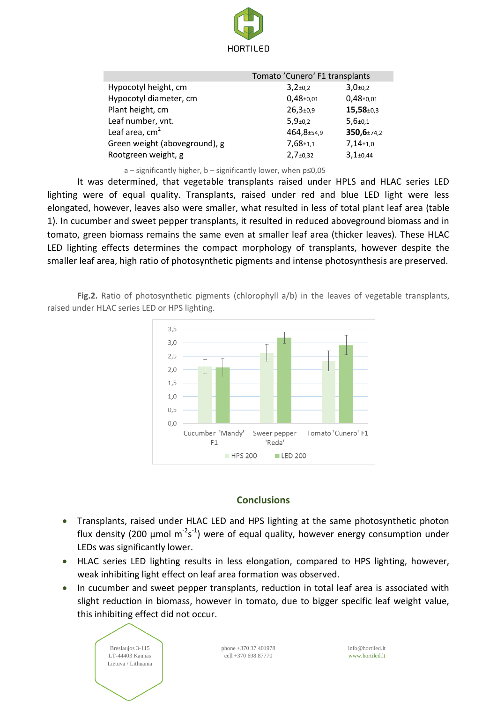

|                               | Tomato 'Cunero' F1 transplants |                              |
|-------------------------------|--------------------------------|------------------------------|
| Hypocotyl height, cm          | $3,2{\scriptstyle \pm}0.2$     | $3,0+0,2$                    |
| Hypocotyl diameter, cm        | $0,48{\scriptstyle \pm0.01}$   | $0,48{\scriptstyle \pm0.01}$ |
| Plant height, cm              | $26,3{\scriptstyle \pm0,9}$    | $15,58+0,3$                  |
| Leaf number, vnt.             | $5,9{\scriptstyle \pm0,2}$     | $5,6{\scriptstyle \pm0.1}$   |
| Leaf area, $cm2$              | 464,8±54,9                     | 350,6±74,2                   |
| Green weight (aboveground), g | $7,68+1,1$                     | $7,14{\scriptstyle \pm1,0}$  |
| Rootgreen weight, g           | $2,7+0,32$                     | $3,1+0,44$                   |

a – significantly higher, b – significantly lower, when p≤0,05

It was determined, that vegetable transplants raised under HPLS and HLAC series LED lighting were of equal quality. Transplants, raised under red and blue LED light were less elongated, however, leaves also were smaller, what resulted in less of total plant leaf area (table 1). In cucumber and sweet pepper transplants, it resulted in reduced aboveground biomass and in tomato, green biomass remains the same even at smaller leaf area (thicker leaves). These HLAC LED lighting effects determines the compact morphology of transplants, however despite the smaller leaf area, high ratio of photosynthetic pigments and intense photosynthesis are preserved.

**Fig.2.** Ratio of photosynthetic pigments (chlorophyll a/b) in the leaves of vegetable transplants, raised under HLAC series LED or HPS lighting.



## **Conclusions**

- Transplants, raised under HLAC LED and HPS lighting at the same photosynthetic photon flux density (200  $\mu$ mol m<sup>-2</sup>s<sup>-1</sup>) were of equal quality, however energy consumption under LEDs was significantly lower.
- HLAC series LED lighting results in less elongation, compared to HPS lighting, however, weak inhibiting light effect on leaf area formation was observed.
- In cucumber and sweet pepper transplants, reduction in total leaf area is associated with slight reduction in biomass, however in tomato, due to bigger specific leaf weight value, this inhibiting effect did not occur.



phone +370 37 401978 cell +370 698 87770

info@hortiled.lt www.hortiled.lt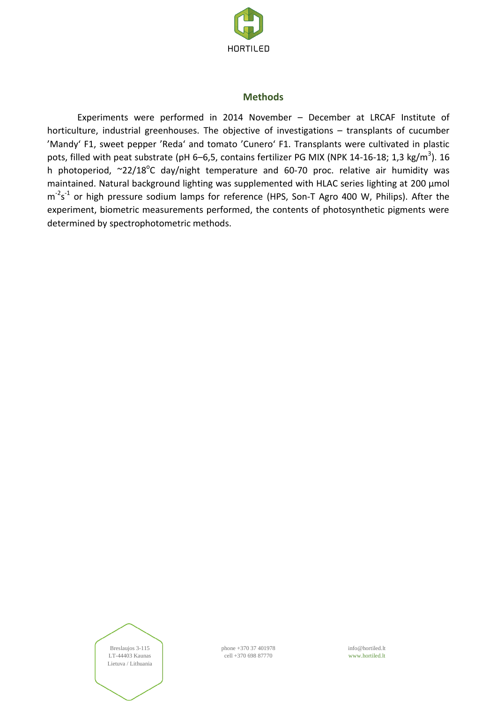

## **Methods**

Experiments were performed in 2014 November – December at LRCAF Institute of horticulture, industrial greenhouses. The objective of investigations – transplants of cucumber 'Mandy' F1, sweet pepper 'Reda' and tomato 'Cunero' F1. Transplants were cultivated in plastic pots, filled with peat substrate (pH 6–6,5, contains fertilizer PG MIX (NPK 14-16-18; 1,3 kg/m<sup>3</sup>). 16 h photoperiod,  $\sim$ 22/18<sup>o</sup>C day/night temperature and 60-70 proc. relative air humidity was maintained. Natural background lighting was supplemented with HLAC series lighting at 200 µmol m<sup>-2</sup>s<sup>-1</sup> or high pressure sodium lamps for reference (HPS, Son-T Agro 400 W, Philips). After the experiment, biometric measurements performed, the contents of photosynthetic pigments were determined by spectrophotometric methods.



phone +370 37 401978 cell +370 698 87770

info@hortiled.lt www.hortiled.lt